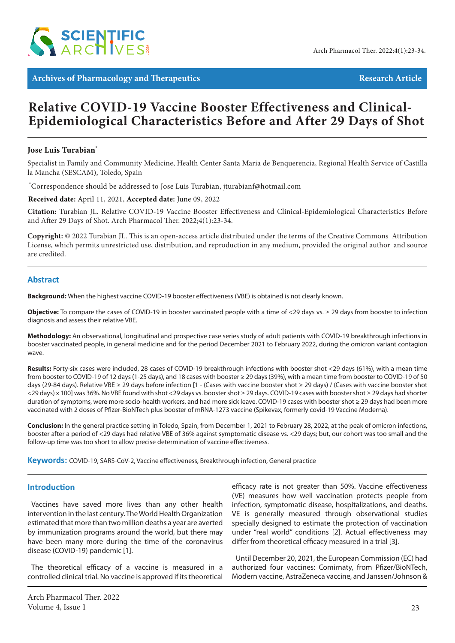

**Archives of Pharmacology and Therapeutics Article** Research Article

# **Relative COVID-19 Vaccine Booster Effectiveness and Clinical-Epidemiological Characteristics Before and After 29 Days of Shot**

# **Jose Luis Turabian\***

Specialist in Family and Community Medicine, Health Center Santa Maria de Benquerencia, Regional Health Service of Castilla la Mancha (SESCAM), Toledo, Spain

\* Correspondence should be addressed to Jose Luis Turabian, jturabianf@hotmail.com

#### **Received date:** April 11, 2021, **Accepted date:** June 09, 2022

**Citation:** Turabian JL. Relative COVID-19 Vaccine Booster Effectiveness and Clinical-Epidemiological Characteristics Before and After 29 Days of Shot. Arch Pharmacol Ther. 2022;4(1):23-34.

**Copyright:** © 2022 Turabian JL. This is an open-access article distributed under the terms of the Creative Commons Attribution License, which permits unrestricted use, distribution, and reproduction in any medium, provided the original author and source are credited.

# **Abstract**

**Background:** When the highest vaccine COVID-19 booster effectiveness (VBE) is obtained is not clearly known.

**Objective:** To compare the cases of COVID-19 in booster vaccinated people with a time of <29 days vs. ≥ 29 days from booster to infection diagnosis and assess their relative VBE.

**Methodology:** An observational, longitudinal and prospective case series study of adult patients with COVID-19 breakthrough infections in booster vaccinated people, in general medicine and for the period December 2021 to February 2022, during the omicron variant contagion wave.

**Results:** Forty-six cases were included, 28 cases of COVID-19 breakthrough infections with booster shot <29 days (61%), with a mean time from booster to COVID-19 of 12 days (1-25 days), and 18 cases with booster ≥ 29 days (39%), with a mean time from booster to COVID-19 of 50 days (29-84 days). Relative VBE ≥ 29 days before infection [1 - (Cases with vaccine booster shot ≥ 29 days) / (Cases with vaccine booster shot <29 days) x 100] was 36%. No VBE found with shot <29 days vs. booster shot ≥ 29 days. COVID-19 cases with booster shot ≥ 29 days had shorter duration of symptoms, were more socio-health workers, and had more sick leave. COVID-19 cases with booster shot ≥ 29 days had been more vaccinated with 2 doses of Pfizer-BioNTech plus booster of mRNA-1273 vaccine (Spikevax, formerly covid-19 Vaccine Moderna).

**Conclusion:** In the general practice setting in Toledo, Spain, from December 1, 2021 to February 28, 2022, at the peak of omicron infections, booster after a period of <29 days had relative VBE of 36% against symptomatic disease vs. <29 days; but, our cohort was too small and the follow-up time was too short to allow precise determination of vaccine effectiveness.

**Keywords:** COVID-19, SARS-CoV-2, Vaccine effectiveness, Breakthrough infection, General practice

#### **Introduction**

Vaccines have saved more lives than any other health intervention in the last century. The World Health Organization estimated that more than two million deaths a year are averted by immunization programs around the world, but there may have been many more during the time of the coronavirus disease (COVID-19) pandemic [1].

The theoretical efficacy of a vaccine is measured in a controlled clinical trial. No vaccine is approved if its theoretical efficacy rate is not greater than 50%. Vaccine effectiveness (VE) measures how well vaccination protects people from infection, symptomatic disease, hospitalizations, and deaths. VE is generally measured through observational studies specially designed to estimate the protection of vaccination under "real world" conditions [2]. Actual effectiveness may differ from theoretical efficacy measured in a trial [3].

Until December 20, 2021, the European Commission (EC) had authorized four vaccines: Comirnaty, from Pfizer/BioNTech, Modern vaccine, AstraZeneca vaccine, and Janssen/Johnson &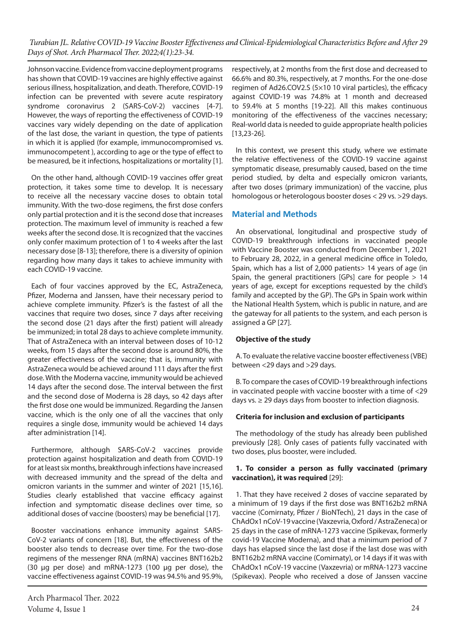Johnson vaccine. Evidence from vaccine deployment programs has shown that COVID-19 vaccines are highly effective against serious illness, hospitalization, and death. Therefore, COVID-19 infection can be prevented with severe acute respiratory syndrome coronavirus 2 (SARS-CoV-2) vaccines [4-7]. However, the ways of reporting the effectiveness of COVID-19 vaccines vary widely depending on the date of application of the last dose, the variant in question, the type of patients in which it is applied (for example, immunocompromised vs. immunocompetent ), according to age or the type of effect to be measured, be it infections, hospitalizations or mortality [1].

On the other hand, although COVID-19 vaccines offer great protection, it takes some time to develop. It is necessary to receive all the necessary vaccine doses to obtain total immunity. With the two-dose regimens, the first dose confers only partial protection and it is the second dose that increases protection. The maximum level of immunity is reached a few weeks after the second dose. It is recognized that the vaccines only confer maximum protection of 1 to 4 weeks after the last necessary dose [8-13]; therefore, there is a diversity of opinion regarding how many days it takes to achieve immunity with each COVID-19 vaccine.

Each of four vaccines approved by the EC, AstraZeneca, Pfizer, Moderna and Janssen, have their necessary period to achieve complete immunity. Pfizer's is the fastest of all the vaccines that require two doses, since 7 days after receiving the second dose (21 days after the first) patient will already be immunized; in total 28 days to achieve complete immunity. That of AstraZeneca with an interval between doses of 10-12 weeks, from 15 days after the second dose is around 80%, the greater effectiveness of the vaccine; that is, immunity with AstraZeneca would be achieved around 111 days after the first dose. With the Moderna vaccine, immunity would be achieved 14 days after the second dose. The interval between the first and the second dose of Moderna is 28 days, so 42 days after the first dose one would be immunized. Regarding the Jansen vaccine, which is the only one of all the vaccines that only requires a single dose, immunity would be achieved 14 days after administration [14].

Furthermore, although SARS-CoV-2 vaccines provide protection against hospitalization and death from COVID-19 for at least six months, breakthrough infections have increased with decreased immunity and the spread of the delta and omicron variants in the summer and winter of 2021 [15,16]. Studies clearly established that vaccine efficacy against infection and symptomatic disease declines over time, so additional doses of vaccine (boosters) may be beneficial [17].

Booster vaccinations enhance immunity against SARS-CoV-2 variants of concern [18]. But, the effectiveness of the booster also tends to decrease over time. For the two-dose regimens of the messenger RNA (mRNA) vaccines BNT162b2 (30 μg per dose) and mRNA-1273 (100 μg per dose), the vaccine effectiveness against COVID-19 was 94.5% and 95.9%,

Arch Pharmacol Ther. 2022 Volume 4, Issue 1 24

respectively, at 2 months from the first dose and decreased to 66.6% and 80.3%, respectively, at 7 months. For the one-dose regimen of Ad26.COV2.S (5×10 10 viral particles), the efficacy against COVID-19 was 74.8% at 1 month and decreased to 59.4% at 5 months [19-22]. All this makes continuous monitoring of the effectiveness of the vaccines necessary; Real-world data is needed to guide appropriate health policies [13,23-26].

In this context, we present this study, where we estimate the relative effectiveness of the COVID-19 vaccine against symptomatic disease, presumably caused, based on the time period studied, by delta and especially omicron variants, after two doses (primary immunization) of the vaccine, plus homologous or heterologous booster doses < 29 vs. >29 days.

# **Material and Methods**

An observational, longitudinal and prospective study of COVID-19 breakthrough infections in vaccinated people with Vaccine Booster was conducted from December 1, 2021 to February 28, 2022, in a general medicine office in Toledo, Spain, which has a list of 2,000 patients> 14 years of age (in Spain, the general practitioners [GPs] care for people  $> 14$ years of age, except for exceptions requested by the child's family and accepted by the GP). The GPs in Spain work within the National Health System, which is public in nature, and are the gateway for all patients to the system, and each person is assigned a GP [27].

#### **Objective of the study**

A. To evaluate the relative vaccine booster effectiveness (VBE) between <29 days and >29 days.

B. To compare the cases of COVID-19 breakthrough infections in vaccinated people with vaccine booster with a time of <29 days vs. ≥ 29 days days from booster to infection diagnosis.

#### **Criteria for inclusion and exclusion of participants**

The methodology of the study has already been published previously [28]. Only cases of patients fully vaccinated with two doses, plus booster, were included.

#### **1. To consider a person as fully vaccinated (primary vaccination), it was required** [29]:

1. That they have received 2 doses of vaccine separated by a minimum of 19 days if the first dose was BNT162b2 mRNA vaccine (Comirnaty, Pfizer / BioNTech), 21 days in the case of ChAdOx1 nCoV-19 vaccine (Vaxzevria, Oxford / AstraZeneca) or 25 days in the case of mRNA-1273 vaccine (Spikevax, formerly covid-19 Vaccine Moderna), and that a minimum period of 7 days has elapsed since the last dose if the last dose was with BNT162b2 mRNA vaccine (Comirnaty), or 14 days if it was with ChAdOx1 nCoV-19 vaccine (Vaxzevria) or mRNA-1273 vaccine (Spikevax). People who received a dose of Janssen vaccine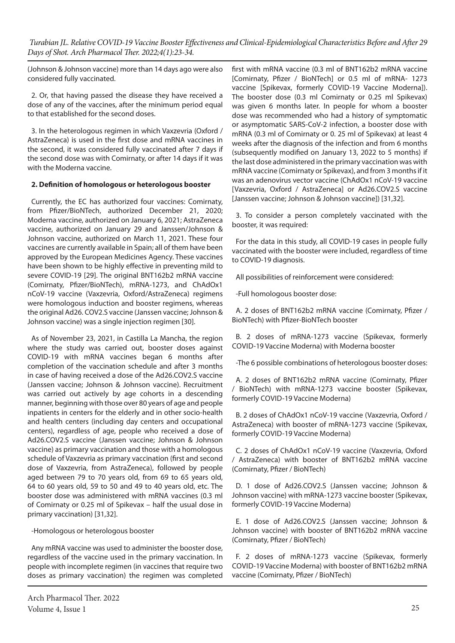(Johnson & Johnson vaccine) more than 14 days ago were also considered fully vaccinated.

2. Or, that having passed the disease they have received a dose of any of the vaccines, after the minimum period equal to that established for the second doses.

3. In the heterologous regimen in which Vaxzevria (Oxford / AstraZeneca) is used in the first dose and mRNA vaccines in the second, it was considered fully vaccinated after 7 days if the second dose was with Comirnaty, or after 14 days if it was with the Moderna vaccine.

# **2. Definition of homologous or heterologous booster**

Currently, the EC has authorized four vaccines: Comirnaty, from Pfizer/BioNTech, authorized December 21, 2020; Moderna vaccine, authorized on January 6, 2021; AstraZeneca vaccine, authorized on January 29 and Janssen/Johnson & Johnson vaccine, authorized on March 11, 2021. These four vaccines are currently available in Spain; all of them have been approved by the European Medicines Agency. These vaccines have been shown to be highly effective in preventing mild to severe COVID-19 [29]. The original BNT162b2 mRNA vaccine (Comirnaty, Pfizer/BioNTech), mRNA-1273, and ChAdOx1 nCoV-19 vaccine (Vaxzevria, Oxford/AstraZeneca) regimens were homologous induction and booster regimens, whereas the original Ad26. COV2.S vaccine (Janssen vaccine; Johnson & Johnson vaccine) was a single injection regimen [30].

As of November 23, 2021, in Castilla La Mancha, the region where the study was carried out, booster doses against COVID-19 with mRNA vaccines began 6 months after completion of the vaccination schedule and after 3 months in case of having received a dose of the Ad26.COV2.S vaccine (Janssen vaccine; Johnson & Johnson vaccine). Recruitment was carried out actively by age cohorts in a descending manner, beginning with those over 80 years of age and people inpatients in centers for the elderly and in other socio-health and health centers (including day centers and occupational centers), regardless of age, people who received a dose of Ad26.COV2.S vaccine (Janssen vaccine; Johnson & Johnson vaccine) as primary vaccination and those with a homologous schedule of Vaxzevria as primary vaccination (first and second dose of Vaxzevria, from AstraZeneca), followed by people aged between 79 to 70 years old, from 69 to 65 years old, 64 to 60 years old, 59 to 50 and 49 to 40 years old, etc. The booster dose was administered with mRNA vaccines (0.3 ml of Comirnaty or 0.25 ml of Spikevax – half the usual dose in primary vaccination) [31,32].

-Homologous or heterologous booster

Any mRNA vaccine was used to administer the booster dose, regardless of the vaccine used in the primary vaccination. In people with incomplete regimen (in vaccines that require two doses as primary vaccination) the regimen was completed

first with mRNA vaccine (0.3 ml of BNT162b2 mRNA vaccine [Comirnaty, Pfizer / BioNTech] or 0.5 ml of mRNA- 1273 vaccine [Spikevax, formerly COVID-19 Vaccine Moderna]). The booster dose (0.3 ml Comirnaty or 0.25 ml Spikevax) was given 6 months later. In people for whom a booster dose was recommended who had a history of symptomatic or asymptomatic SARS-CoV-2 infection, a booster dose with mRNA (0.3 ml of Comirnaty or 0. 25 ml of Spikevax) at least 4 weeks after the diagnosis of the infection and from 6 months (subsequently modified on January 13, 2022 to 5 months) if the last dose administered in the primary vaccination was with mRNA vaccine (Comirnaty or Spikevax), and from 3 months if it was an adenovirus vector vaccine (ChAdOx1 nCoV-19 vaccine [Vaxzevria, Oxford / AstraZeneca] or Ad26.COV2.S vaccine [Janssen vaccine; Johnson & Johnson vaccine]) [31,32].

3. To consider a person completely vaccinated with the booster, it was required:

For the data in this study, all COVID-19 cases in people fully vaccinated with the booster were included, regardless of time to COVID-19 diagnosis.

All possibilities of reinforcement were considered:

-Full homologous booster dose:

A. 2 doses of BNT162b2 mRNA vaccine (Comirnaty, Pfizer / BioNTech) with Pfizer-BioNTech booster

B. 2 doses of mRNA-1273 vaccine (Spikevax, formerly COVID-19 Vaccine Moderna) with Moderna booster

-The 6 possible combinations of heterologous booster doses:

A. 2 doses of BNT162b2 mRNA vaccine (Comirnaty, Pfizer / BioNTech) with mRNA-1273 vaccine booster (Spikevax, formerly COVID-19 Vaccine Moderna)

B. 2 doses of ChAdOx1 nCoV-19 vaccine (Vaxzevria, Oxford / AstraZeneca) with booster of mRNA-1273 vaccine (Spikevax, formerly COVID-19 Vaccine Moderna)

C. 2 doses of ChAdOx1 nCoV-19 vaccine (Vaxzevria, Oxford / AstraZeneca) with booster of BNT162b2 mRNA vaccine (Comirnaty, Pfizer / BioNTech)

D. 1 dose of Ad26.COV2.S (Janssen vaccine; Johnson & Johnson vaccine) with mRNA-1273 vaccine booster (Spikevax, formerly COVID-19 Vaccine Moderna)

E. 1 dose of Ad26.COV2.S (Janssen vaccine; Johnson & Johnson vaccine) with booster of BNT162b2 mRNA vaccine (Comirnaty, Pfizer / BioNTech)

F. 2 doses of mRNA-1273 vaccine (Spikevax, formerly COVID-19 Vaccine Moderna) with booster of BNT162b2 mRNA vaccine (Comirnaty, Pfizer / BioNTech)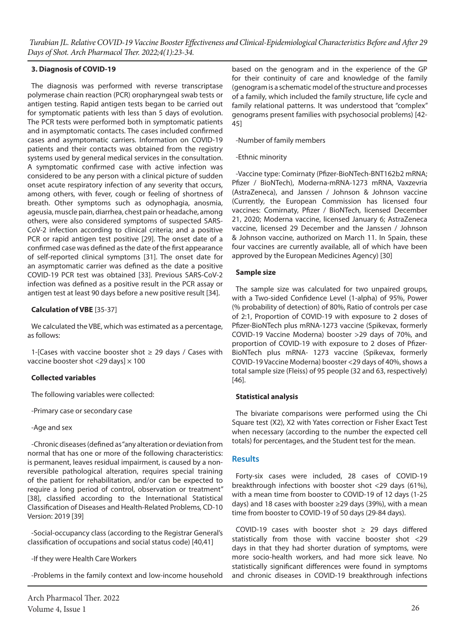#### **3. Diagnosis of COVID-19**

The diagnosis was performed with reverse transcriptase polymerase chain reaction (PCR) oropharyngeal swab tests or antigen testing. Rapid antigen tests began to be carried out for symptomatic patients with less than 5 days of evolution. The PCR tests were performed both in symptomatic patients and in asymptomatic contacts. The cases included confirmed cases and asymptomatic carriers. Information on COVID-19 patients and their contacts was obtained from the registry systems used by general medical services in the consultation. A symptomatic confirmed case with active infection was considered to be any person with a clinical picture of sudden onset acute respiratory infection of any severity that occurs, among others, with fever, cough or feeling of shortness of breath. Other symptoms such as odynophagia, anosmia, ageusia, muscle pain, diarrhea, chest pain or headache, among others, were also considered symptoms of suspected SARS-CoV-2 infection according to clinical criteria; and a positive PCR or rapid antigen test positive [29]. The onset date of a confirmed case was defined as the date of the first appearance of self-reported clinical symptoms [31]. The onset date for an asymptomatic carrier was defined as the date a positive COVID-19 PCR test was obtained [33]. Previous SARS-CoV-2 infection was defined as a positive result in the PCR assay or antigen test at least 90 days before a new positive result [34].

# **Calculation of VBE** [35-37]

We calculated the VBE, which was estimated as a percentage, as follows:

1-[Cases with vaccine booster shot  $\geq$  29 days / Cases with vaccine booster shot <29 days]  $\times$  100

#### **Collected variables**

The following variables were collected:

-Primary case or secondary case

# -Age and sex

-Chronic diseases (defined as "any alteration or deviation from normal that has one or more of the following characteristics: is permanent, leaves residual impairment, is caused by a nonreversible pathological alteration, requires special training of the patient for rehabilitation, and/or can be expected to require a long period of control, observation or treatment" [38], classified according to the International Statistical Classification of Diseases and Health-Related Problems, CD-10 Version: 2019 [39]

-Social-occupancy class (according to the Registrar General's classification of occupations and social status code) [40,41]

-If they were Health Care Workers

-Problems in the family context and low-income household

based on the genogram and in the experience of the GP for their continuity of care and knowledge of the family (genogram is a schematic model of the structure and processes of a family, which included the family structure, life cycle and family relational patterns. It was understood that "complex" genograms present families with psychosocial problems) [42- 45]

-Number of family members

# -Ethnic minority

-Vaccine type: Comirnaty (Pfizer-BioNTech-BNT162b2 mRNA; Pfizer / BioNTech), Moderna-mRNA-1273 mRNA, Vaxzevria (AstraZeneca), and Janssen / Johnson & Johnson vaccine (Currently, the European Commission has licensed four vaccines: Comirnaty, Pfizer / BioNTech, licensed December 21, 2020; Moderna vaccine, licensed January 6; AstraZeneca vaccine, licensed 29 December and the Janssen / Johnson & Johnson vaccine, authorized on March 11. In Spain, these four vaccines are currently available, all of which have been approved by the European Medicines Agency) [30]

# **Sample size**

The sample size was calculated for two unpaired groups, with a Two-sided Confidence Level (1-alpha) of 95%, Power (% probability of detection) of 80%, Ratio of controls per case of 2:1, Proportion of COVID-19 with exposure to 2 doses of Pfizer-BioNTech plus mRNA-1273 vaccine (Spikevax, formerly COVID-19 Vaccine Moderna) booster >29 days of 70%, and proportion of COVID-19 with exposure to 2 doses of Pfizer-BioNTech plus mRNA- 1273 vaccine (Spikevax, formerly COVID-19 Vaccine Moderna) booster <29 days of 40%, shows a total sample size (Fleiss) of 95 people (32 and 63, respectively) [46].

# **Statistical analysis**

The bivariate comparisons were performed using the Chi Square test (X2), X2 with Yates correction or Fisher Exact Test when necessary (according to the number the expected cell totals) for percentages, and the Student test for the mean.

# **Results**

Forty-six cases were included, 28 cases of COVID-19 breakthrough infections with booster shot <29 days (61%), with a mean time from booster to COVID-19 of 12 days (1-25 days) and 18 cases with booster ≥29 days (39%), with a mean time from booster to COVID-19 of 50 days (29-84 days).

COVID-19 cases with booster shot  $\geq$  29 days differed statistically from those with vaccine booster shot <29 days in that they had shorter duration of symptoms, were more socio-health workers, and had more sick leave. No statistically significant differences were found in symptoms and chronic diseases in COVID-19 breakthrough infections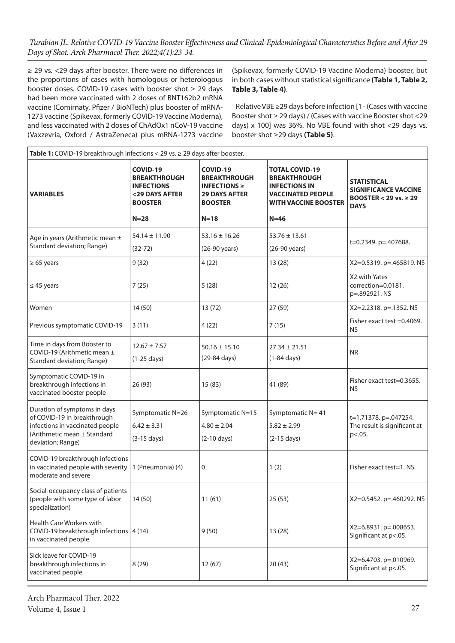≥ 29 vs. <29 days after booster. There were no differences in the proportions of cases with homologous or heterologous booster doses. COVID-19 cases with booster shot ≥ 29 days had been more vaccinated with 2 doses of BNT162b2 mRNA vaccine (Comirnaty, Pfizer / BioNTech) plus booster of mRNA-1273 vaccine (Spikevax, formerly COVID-19 Vaccine Moderna), and less vaccinated with 2 doses of ChAdOx1 nCoV-19 vaccine (Vaxzevria, Oxford / AstraZeneca) plus mRNA-1273 vaccine

(Spikevax, formerly COVID-19 Vaccine Moderna) booster, but in both cases without statistical significance **(Table 1, Table 2, Table 3, Table 4)**.

Relative VBE ≥29 days before infection [1 - (Cases with vaccine Booster shot ≥ 29 days) / (Cases with vaccine Booster shot <29 days) x 100] was 36%. No VBE found with shot <29 days vs. booster shot ≥29 days **(Table 5)**.

| Table 1: COVID-19 breakthrough infections < 29 vs. $\geq$ 29 days after booster.                                                                   |                                                                                                      |                                                                                                          |                                                                                                                                           |                                                                                                |  |
|----------------------------------------------------------------------------------------------------------------------------------------------------|------------------------------------------------------------------------------------------------------|----------------------------------------------------------------------------------------------------------|-------------------------------------------------------------------------------------------------------------------------------------------|------------------------------------------------------------------------------------------------|--|
| <b>VARIABLES</b>                                                                                                                                   | COVID-19<br><b>BREAKTHROUGH</b><br><b>INFECTIONS</b><br><29 DAYS AFTER<br><b>BOOSTER</b><br>$N = 28$ | COVID-19<br><b>BREAKTHROUGH</b><br>INFECTIONS $\geq$<br><b>29 DAYS AFTER</b><br><b>BOOSTER</b><br>$N=18$ | <b>TOTAL COVID-19</b><br><b>BREAKTHROUGH</b><br><b>INFECTIONS IN</b><br><b>VACCINATED PEOPLE</b><br><b>WITH VACCINE BOOSTER</b><br>$N=46$ | <b>STATISTICAL</b><br><b>SIGNIFICANCE VACCINE</b><br>BOOSTER < 29 vs. $\geq$ 29<br><b>DAYS</b> |  |
| Age in years (Arithmetic mean ±<br>Standard deviation; Range)                                                                                      | $54.14 \pm 11.90$<br>$(32 - 72)$                                                                     | $53.16 \pm 16.26$<br>(26-90 years)                                                                       | $53.76 \pm 13.61$<br>(26-90 years)                                                                                                        | t=0.2349. p=.407688.                                                                           |  |
| $\geq 65$ years                                                                                                                                    | 9(32)                                                                                                | 4(22)                                                                                                    | 13(28)                                                                                                                                    | X2=0.5319. p=.465819. NS                                                                       |  |
| $\leq$ 45 years                                                                                                                                    | 7(25)                                                                                                | 5(28)                                                                                                    | 12(26)                                                                                                                                    | X2 with Yates<br>correction=0.0181.<br>p=.892921.NS                                            |  |
| Women                                                                                                                                              | 14(50)                                                                                               | 13(72)                                                                                                   | 27 (59)                                                                                                                                   | X2=2.2318. p=.1352. NS                                                                         |  |
| Previous symptomatic COVID-19                                                                                                                      | 3(11)                                                                                                | 4(22)                                                                                                    | 7(15)                                                                                                                                     | Fisher exact test =0.4069.<br><b>NS</b>                                                        |  |
| Time in days from Booster to<br>COVID-19 (Arithmetic mean ±<br>Standard deviation; Range)                                                          | $12.67 \pm 7.57$<br>$(1-25 \text{ days})$                                                            | $50.16 \pm 15.10$<br>(29-84 days)                                                                        | $27.34 \pm 21.51$<br>$(1-84 \text{ days})$                                                                                                | NR.                                                                                            |  |
| Symptomatic COVID-19 in<br>breakthrough infections in<br>vaccinated booster people                                                                 | 26 (93)                                                                                              | 15(83)                                                                                                   | 41 (89)                                                                                                                                   | Fisher exact test=0.3655.<br><b>NS</b>                                                         |  |
| Duration of symptoms in days<br>of COVID-19 in breakthrough<br>infections in vaccinated people<br>(Arithmetic mean ± Standard<br>deviation; Range) | Symptomatic N=26<br>$6.42 \pm 3.31$<br>$(3-15 \text{ days})$                                         | Symptomatic N=15<br>$4.80 \pm 2.04$<br>$(2-10 \text{ days})$                                             | Symptomatic N= 41<br>$5.82 \pm 2.99$<br>$(2-15 \text{ days})$                                                                             | t=1.71378. p=.047254.<br>The result is significant at<br>p <. 05.                              |  |
| COVID-19 breakthrough infections<br>in vaccinated people with severity<br>moderate and severe                                                      | 1 (Pneumonia) (4)                                                                                    | $\mathbf 0$                                                                                              | 1(2)                                                                                                                                      | Fisher exact test=1. NS                                                                        |  |
| Social-occupancy class of patients<br>(people with some type of labor<br>specialization)                                                           | 14(50)                                                                                               | 11(61)                                                                                                   | 25(53)                                                                                                                                    | X2=0.5452. p=.460292. NS                                                                       |  |
| Health Care Workers with<br>COVID-19 breakthrough infections   4 (14)<br>in vaccinated people                                                      |                                                                                                      | 9(50)                                                                                                    | 13(28)                                                                                                                                    | X2=6.8931. p=.008653.<br>Significant at p<.05.                                                 |  |
| Sick leave for COVID-19<br>breakthrough infections in<br>vaccinated people                                                                         | 8(29)                                                                                                | 12(67)                                                                                                   | 20(43)                                                                                                                                    | X2=6.4703. p=.010969.<br>Significant at p<.05.                                                 |  |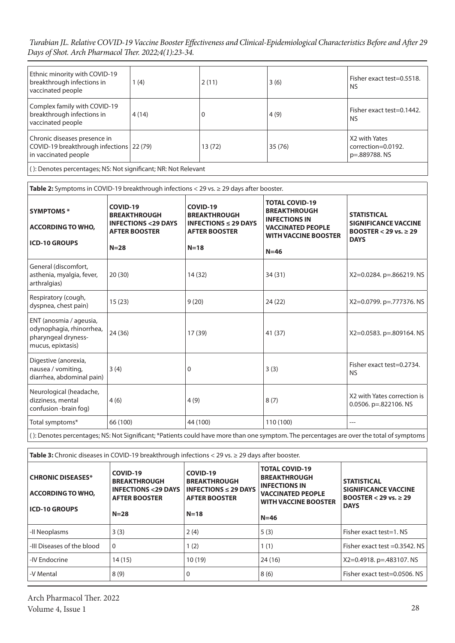*Turabian JL. Relative COVID-19 Vaccine Booster Effectiveness and Clinical-Epidemiological Characteristics Before and After 29 Days of Shot. Arch Pharmacol Ther. 2022;4(1):23-34.*

| Ethnic minority with COVID-19<br>breakthrough infections in<br>vaccinated people                 | 1(4)  | 2(11)  | 3(6)   | Fisher exact test=0.5518.<br><b>NS</b>               |
|--------------------------------------------------------------------------------------------------|-------|--------|--------|------------------------------------------------------|
| Complex family with COVID-19<br>breakthrough infections in<br>vaccinated people                  | 4(14) |        | 4(9)   | Fisher exact test=0.1442.<br><b>NS</b>               |
| Chronic diseases presence in<br>COVID-19 breakthrough infections 22 (79)<br>in vaccinated people |       | 13(72) | 35(76) | X2 with Yates<br>correction=0.0192.<br>p=.889788. NS |
| (): Denotes percentages; NS: Not significant; NR: Not Relevant                                   |       |        |        |                                                      |

| Table 2: Symptoms in COVID-19 breakthrough infections $<$ 29 vs. $\geq$ 29 days after booster.                                           |                                                                                                    |                                                                                                                  |                                                                                                                                           |                                                                                                |  |
|------------------------------------------------------------------------------------------------------------------------------------------|----------------------------------------------------------------------------------------------------|------------------------------------------------------------------------------------------------------------------|-------------------------------------------------------------------------------------------------------------------------------------------|------------------------------------------------------------------------------------------------|--|
| <b>SYMPTOMS*</b><br><b>ACCORDING TO WHO,</b><br><b>ICD-10 GROUPS</b>                                                                     | COVID-19<br><b>BREAKTHROUGH</b><br><b>INFECTIONS &lt;29 DAYS</b><br><b>AFTER BOOSTER</b><br>$N=28$ | COVID-19<br><b>BREAKTHROUGH</b><br><b>INFECTIONS <math>\leq</math> 29 DAYS</b><br><b>AFTER BOOSTER</b><br>$N=18$ | <b>TOTAL COVID-19</b><br><b>BREAKTHROUGH</b><br><b>INFECTIONS IN</b><br><b>VACCINATED PEOPLE</b><br><b>WITH VACCINE BOOSTER</b><br>$N=46$ | <b>STATISTICAL</b><br><b>SIGNIFICANCE VACCINE</b><br>BOOSTER < 29 vs. $\geq$ 29<br><b>DAYS</b> |  |
| General (discomfort,<br>asthenia, myalgia, fever,<br>arthralgias)                                                                        | 20(30)                                                                                             | 14 (32)                                                                                                          | 34 (31)                                                                                                                                   | X2=0.0284. p=.866219. NS                                                                       |  |
| Respiratory (cough,<br>dyspnea, chest pain)                                                                                              | 15(23)                                                                                             | 9(20)                                                                                                            | 24(22)                                                                                                                                    | $X2=0.0799$ . p=.777376. NS                                                                    |  |
| ENT (anosmia / ageusia,<br>odynophagia, rhinorrhea,<br>pharyngeal dryness-<br>mucus, epixtasis)                                          | 24 (36)                                                                                            | 17 (39)                                                                                                          | 41 (37)                                                                                                                                   | X2=0.0583. p=.809164. NS                                                                       |  |
| Digestive (anorexia,<br>nausea / vomiting,<br>diarrhea, abdominal pain)                                                                  | 3(4)                                                                                               | 0                                                                                                                | 3(3)                                                                                                                                      | Fisher exact test=0.2734.<br><b>NS</b>                                                         |  |
| Neurological (headache,<br>dizziness, mental<br>confusion -brain fog)                                                                    | 4(6)                                                                                               | 4(9)                                                                                                             | 8(7)                                                                                                                                      | X2 with Yates correction is<br>0.0506. $p=.822106. N5$                                         |  |
| Total symptoms*                                                                                                                          | 66 (100)                                                                                           | 44 (100)                                                                                                         | 110 (100)                                                                                                                                 | ---                                                                                            |  |
| (): Denotes percentages; NS: Not Significant; *Patients could have more than one symptom. The percentages are over the total of symptoms |                                                                                                    |                                                                                                                  |                                                                                                                                           |                                                                                                |  |

| <b>Table 3:</b> Chronic diseases in COVID-19 breakthrough infections $<$ 29 vs. $\geq$ 29 days after booster. |                                                                                          |                                                                                      |                                                                                                                                 |                                                                                           |  |
|---------------------------------------------------------------------------------------------------------------|------------------------------------------------------------------------------------------|--------------------------------------------------------------------------------------|---------------------------------------------------------------------------------------------------------------------------------|-------------------------------------------------------------------------------------------|--|
| <b>CHRONIC DISEASES*</b><br><b>ACCORDING TO WHO.</b>                                                          | COVID-19<br><b>BREAKTHROUGH</b><br><b>INFECTIONS &lt;29 DAYS</b><br><b>AFTER BOOSTER</b> | COVID-19<br><b>BREAKTHROUGH</b><br>INFECTIONS $\leq$ 29 DAYS<br><b>AFTER BOOSTER</b> | <b>TOTAL COVID-19</b><br><b>BREAKTHROUGH</b><br><b>INFECTIONS IN</b><br><b>VACCINATED PEOPLE</b><br><b>WITH VACCINE BOOSTER</b> | <b>STATISTICAL</b><br>SIGNIFICANCE VACCINE<br>BOOSTER $<$ 29 vs. $\geq$ 29<br><b>DAYS</b> |  |
| <b>ICD-10 GROUPS</b>                                                                                          | $N=28$                                                                                   | $N=18$                                                                               | $N=46$                                                                                                                          |                                                                                           |  |
| -Il Neoplasms                                                                                                 | 3(3)                                                                                     | 2(4)                                                                                 | 5(3)                                                                                                                            | Fisher exact test=1. NS                                                                   |  |
| -III Diseases of the blood                                                                                    | $\Omega$                                                                                 | 1(2)                                                                                 | 1(1)                                                                                                                            | Fisher exact test $=0.3542$ . NS                                                          |  |
| -IV Endocrine                                                                                                 | 14 (15)                                                                                  | 10(19)                                                                               | 24 (16)                                                                                                                         | $X2=0.4918$ . p=.483107. NS                                                               |  |
| -V Mental                                                                                                     | 8(9)                                                                                     | 0                                                                                    | 8(6)                                                                                                                            | Fisher exact test=0.0506. NS                                                              |  |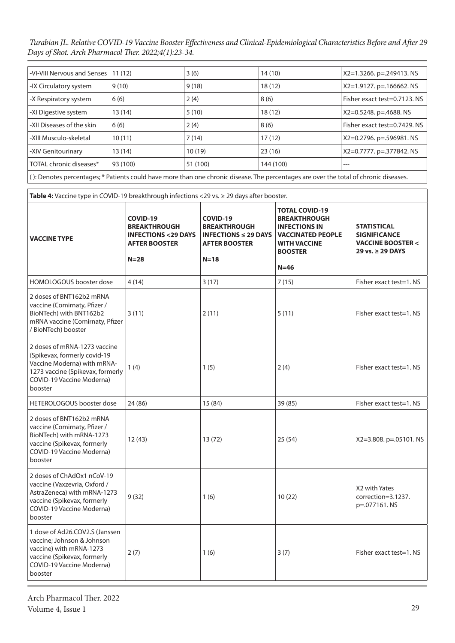| -VI-VIII Nervous and Senses                                                                                                           | 11(12)   | 3(6)     | 14(10)    | $X2=1.3266$ . p=.249413. NS  |
|---------------------------------------------------------------------------------------------------------------------------------------|----------|----------|-----------|------------------------------|
| -IX Circulatory system                                                                                                                | 9(10)    | 9(18)    | 18(12)    | $X2=1.9127$ . p=.166662. NS  |
| -X Respiratory system                                                                                                                 | 6(6)     | 2(4)     | 8(6)      | Fisher exact test=0.7123. NS |
| -XI Digestive system                                                                                                                  | 13 (14)  | 5(10)    | 18(12)    | $X2=0.5248$ . p=.4688. NS    |
| -XII Diseases of the skin                                                                                                             | 6(6)     | 2(4)     | 8(6)      | Fisher exact test=0.7429. NS |
| -XIII Musculo-skeletal                                                                                                                | 10(11)   | 7(14)    | 17(12)    | X2=0.2796. p=.596981. NS     |
| -XIV Genitourinary                                                                                                                    | 13 (14)  | 10(19)   | 23(16)    | X2=0.7777. p=.377842. NS     |
| TOTAL chronic diseases*                                                                                                               | 93 (100) | 51 (100) | 144 (100) | ---                          |
| (): Denotes percentages; * Patients could have more than one chronic disease. The percentages are over the total of chronic diseases. |          |          |           |                              |

**Table 4:** Vaccine type in COVID-19 breakthrough infections <29 vs. ≥ 29 days after booster.

| <b>VACCINE TYPE</b>                                                                                                                                                     | COVID-19<br><b>BREAKTHROUGH</b><br><b>INFECTIONS &lt;29 DAYS</b><br><b>AFTER BOOSTER</b><br>$N = 28$ | COVID-19<br><b>BREAKTHROUGH</b><br><b>INFECTIONS <math>\leq</math> 29 DAYS</b><br><b>AFTER BOOSTER</b><br>$N=18$ | <b>TOTAL COVID-19</b><br><b>BREAKTHROUGH</b><br><b>INFECTIONS IN</b><br><b>VACCINATED PEOPLE</b><br><b>WITH VACCINE</b><br><b>BOOSTER</b><br>$N=46$ | <b>STATISTICAL</b><br><b>SIGNIFICANCE</b><br><b>VACCINE BOOSTER &lt;</b><br>29 vs. ≥ 29 DAYS |
|-------------------------------------------------------------------------------------------------------------------------------------------------------------------------|------------------------------------------------------------------------------------------------------|------------------------------------------------------------------------------------------------------------------|-----------------------------------------------------------------------------------------------------------------------------------------------------|----------------------------------------------------------------------------------------------|
| HOMOLOGOUS booster dose                                                                                                                                                 | 4(14)                                                                                                | 3(17)                                                                                                            | 7(15)                                                                                                                                               | Fisher exact test=1. NS                                                                      |
| 2 doses of BNT162b2 mRNA<br>vaccine (Comirnaty, Pfizer /<br>BioNTech) with BNT162b2<br>mRNA vaccine (Comirnaty, Pfizer<br>/ BioNTech) booster                           | 3(11)                                                                                                | 2(11)                                                                                                            | 5(11)                                                                                                                                               | Fisher exact test=1. NS                                                                      |
| 2 doses of mRNA-1273 vaccine<br>(Spikevax, formerly covid-19<br>Vaccine Moderna) with mRNA-<br>1273 vaccine (Spikevax, formerly<br>COVID-19 Vaccine Moderna)<br>booster | 1(4)                                                                                                 | 1(5)                                                                                                             | 2(4)                                                                                                                                                | Fisher exact test=1. NS                                                                      |
| <b>HETEROLOGOUS</b> booster dose                                                                                                                                        | 24 (86)                                                                                              | 15(84)                                                                                                           | 39 (85)                                                                                                                                             | Fisher exact test=1. NS                                                                      |
| 2 doses of BNT162b2 mRNA<br>vaccine (Comirnaty, Pfizer /<br>BioNTech) with mRNA-1273<br>vaccine (Spikevax, formerly<br>COVID-19 Vaccine Moderna)<br>booster             | 12(43)                                                                                               | 13 (72)                                                                                                          | 25(54)                                                                                                                                              | X2=3.808. p=.05101. NS                                                                       |
| 2 doses of ChAdOx1 nCoV-19<br>vaccine (Vaxzevria, Oxford /<br>AstraZeneca) with mRNA-1273<br>vaccine (Spikevax, formerly<br>COVID-19 Vaccine Moderna)<br>booster        | 9(32)                                                                                                | 1(6)                                                                                                             | 10(22)                                                                                                                                              | X2 with Yates<br>correction=3.1237.<br>p=.077161.NS                                          |
| 1 dose of Ad26.COV2.S (Janssen<br>vaccine; Johnson & Johnson<br>vaccine) with mRNA-1273<br>vaccine (Spikevax, formerly<br><b>COVID-19 Vaccine Moderna)</b><br>booster   | 2(7)                                                                                                 | 1(6)                                                                                                             | 3(7)                                                                                                                                                | Fisher exact test=1. NS                                                                      |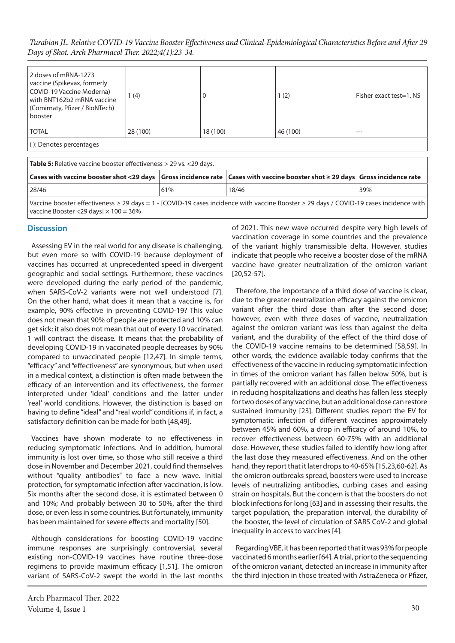*Turabian JL. Relative COVID-19 Vaccine Booster Effectiveness and Clinical-Epidemiological Characteristics Before and After 29 Days of Shot. Arch Pharmacol Ther. 2022;4(1):23-34.*

| 2 doses of mRNA-1273<br>vaccine (Spikevax, formerly<br>COVID-19 Vaccine Moderna)<br>with BNT162b2 mRNA vaccine<br>(Comirnaty, Pfizer / BioNTech)<br>booster | (4)      | υ        | 1(2)     | Fisher exact test=1. NS |
|-------------------------------------------------------------------------------------------------------------------------------------------------------------|----------|----------|----------|-------------------------|
| <b>TOTAL</b>                                                                                                                                                | 28 (100) | 18 (100) | 46 (100) | ---                     |
| (): Denotes percentages                                                                                                                                     |          |          |          |                         |

| <b>Table 5:</b> Relative vaccine booster effectiveness > 29 vs. <29 days.                                                                                                                                |     |       |     |  |  |
|----------------------------------------------------------------------------------------------------------------------------------------------------------------------------------------------------------|-----|-------|-----|--|--|
| $\mid$ Cases with vaccine booster shot <29 days $\mid$ Gross incidence rate $\mid$ Cases with vaccine booster shot $\geq$ 29 days $\mid$ Gross incidence rate                                            |     |       |     |  |  |
| 28/46                                                                                                                                                                                                    | 61% | 18/46 | 39% |  |  |
| Vaccine booster effectiveness $\geq$ 29 days = 1 - [COVID-19 cases incidence with vaccine Booster $\geq$ 29 days / COVID-19 cases incidence with  <br>vaccine Booster <29 days $\vert \times 100 = 36\%$ |     |       |     |  |  |

# **Discussion**

Assessing EV in the real world for any disease is challenging, but even more so with COVID-19 because deployment of vaccines has occurred at unprecedented speed in divergent geographic and social settings. Furthermore, these vaccines were developed during the early period of the pandemic, when SARS-CoV-2 variants were not well understood [7]. On the other hand, what does it mean that a vaccine is, for example, 90% effective in preventing COVID-19? This value does not mean that 90% of people are protected and 10% can get sick; it also does not mean that out of every 10 vaccinated, 1 will contract the disease. It means that the probability of developing COVID-19 in vaccinated people decreases by 90% compared to unvaccinated people [12,47]. In simple terms, "efficacy" and "effectiveness" are synonymous, but when used in a medical context, a distinction is often made between the efficacy of an intervention and its effectiveness, the former interpreted under 'ideal' conditions and the latter under 'real' world conditions. However, the distinction is based on having to define "ideal" and "real world" conditions if, in fact, a satisfactory definition can be made for both [48,49].

Vaccines have shown moderate to no effectiveness in reducing symptomatic infections. And in addition, humoral immunity is lost over time, so those who still receive a third dose in November and December 2021, could find themselves without "quality antibodies" to face a new wave. Initial protection, for symptomatic infection after vaccination, is low. Six months after the second dose, it is estimated between 0 and 10%; And probably between 30 to 50%, after the third dose, or even less in some countries. But fortunately, immunity has been maintained for severe effects and mortality [50].

Although considerations for boosting COVID-19 vaccine immune responses are surprisingly controversial, several existing non-COVID-19 vaccines have routine three-dose regimens to provide maximum efficacy [1,51]. The omicron variant of SARS-CoV-2 swept the world in the last months

Arch Pharmacol Ther. 2022 Volume 4, Issue 1 30

of 2021. This new wave occurred despite very high levels of vaccination coverage in some countries and the prevalence of the variant highly transmissible delta. However, studies indicate that people who receive a booster dose of the mRNA vaccine have greater neutralization of the omicron variant [20,52-57].

Therefore, the importance of a third dose of vaccine is clear, due to the greater neutralization efficacy against the omicron variant after the third dose than after the second dose; however, even with three doses of vaccine, neutralization against the omicron variant was less than against the delta variant, and the durability of the effect of the third dose of the COVID-19 vaccine remains to be determined [58,59]. In other words, the evidence available today confirms that the effectiveness of the vaccine in reducing symptomatic infection in times of the omicron variant has fallen below 50%, but is partially recovered with an additional dose. The effectiveness in reducing hospitalizations and deaths has fallen less steeply for two doses of any vaccine, but an additional dose can restore sustained immunity [23]. Different studies report the EV for symptomatic infection of different vaccines approximately between 45% and 60%, a drop in efficacy of around 10%, to recover effectiveness between 60-75% with an additional dose. However, these studies failed to identify how long after the last dose they measured effectiveness. And on the other hand, they report that it later drops to 40-65% [15,23,60-62]. As the omicron outbreaks spread, boosters were used to increase levels of neutralizing antibodies, curbing cases and easing strain on hospitals. But the concern is that the boosters do not block infections for long [63] and in assessing their results, the target population, the preparation interval, the durability of the booster, the level of circulation of SARS CoV-2 and global inequality in access to vaccines [4].

Regarding VBE, it has been reported that it was 93% for people vaccinated 6 months earlier [64]. A trial, prior to the sequencing of the omicron variant, detected an increase in immunity after the third injection in those treated with AstraZeneca or Pfizer,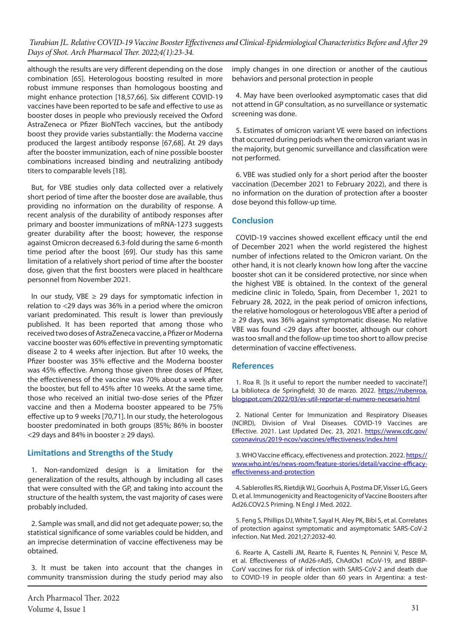although the results are very different depending on the dose combination [65]. Heterologous boosting resulted in more robust immune responses than homologous boosting and might enhance protection [18,57,66]. Six different COVID-19 vaccines have been reported to be safe and effective to use as booster doses in people who previously received the Oxford AstraZeneca or Pfizer BioNTech vaccines, but the antibody boost they provide varies substantially: the Moderna vaccine produced the largest antibody response [67,68]. At 29 days after the booster immunization, each of nine possible booster combinations increased binding and neutralizing antibody titers to comparable levels [18].

But, for VBE studies only data collected over a relatively short period of time after the booster dose are available, thus providing no information on the durability of response. A recent analysis of the durability of antibody responses after primary and booster immunizations of mRNA-1273 suggests greater durability after the boost; however, the response against Omicron decreased 6.3-fold during the same 6-month time period after the boost [69]. Our study has this same limitation of a relatively short period of time after the booster dose, given that the first boosters were placed in healthcare personnel from November 2021.

In our study, VBE  $\geq$  29 days for symptomatic infection in relation to <29 days was 36% in a period where the omicron variant predominated. This result is lower than previously published. It has been reported that among those who received two doses of AstraZeneca vaccine, a Pfizer or Moderna vaccine booster was 60% effective in preventing symptomatic disease 2 to 4 weeks after injection. But after 10 weeks, the Pfizer booster was 35% effective and the Moderna booster was 45% effective. Among those given three doses of Pfizer, the effectiveness of the vaccine was 70% about a week after the booster, but fell to 45% after 10 weeks. At the same time, those who received an initial two-dose series of the Pfizer vaccine and then a Moderna booster appeared to be 75% effective up to 9 weeks [70,71]. In our study, the heterologous booster predominated in both groups (85%; 86% in booster  $<$  29 days and 84% in booster  $\geq$  29 days).

#### **Limitations and Strengths of the Study**

1. Non-randomized design is a limitation for the generalization of the results, although by including all cases that were consulted with the GP, and taking into account the structure of the health system, the vast majority of cases were probably included.

2. Sample was small, and did not get adequate power; so, the statistical significance of some variables could be hidden, and an imprecise determination of vaccine effectiveness may be obtained.

3. It must be taken into account that the changes in community transmission during the study period may also imply changes in one direction or another of the cautious behaviors and personal protection in people

4. May have been overlooked asymptomatic cases that did not attend in GP consultation, as no surveillance or systematic screening was done.

5. Estimates of omicron variant VE were based on infections that occurred during periods when the omicron variant was in the majority, but genomic surveillance and classification were not performed.

6. VBE was studied only for a short period after the booster vaccination (December 2021 to February 2022), and there is no information on the duration of protection after a booster dose beyond this follow-up time.

# **Conclusion**

COVID-19 vaccines showed excellent efficacy until the end of December 2021 when the world registered the highest number of infections related to the Omicron variant. On the other hand, it is not clearly known how long after the vaccine booster shot can it be considered protective, nor since when the highest VBE is obtained. In the context of the general medicine clinic in Toledo, Spain, from December 1, 2021 to February 28, 2022, in the peak period of omicron infections, the relative homologous or heterologous VBE after a period of ≥ 29 days, was 36% against symptomatic disease. No relative VBE was found <29 days after booster, although our cohort was too small and the follow-up time too short to allow precise determination of vaccine effectiveness.

#### **References**

1. Roa R. [Is it useful to report the number needed to vaccinate?] La biblioteca de Springfield; 30 de marzo. 2022. [https://rubenroa.](https://rubenroa.blogspot.com/2022/03/es-util-reportar-el-numero-necesario.html) [blogspot.com/2022/03/es-util-reportar-el-numero-necesario.html](https://rubenroa.blogspot.com/2022/03/es-util-reportar-el-numero-necesario.html)

2. National Center for Immunization and Respiratory Diseases (NCIRD), Division of Viral Diseases. COVID-19 Vaccines are Effective. 2021. Last Updated Dec. 23, 2021. [https://www.cdc.gov/](https://www.cdc.gov/coronavirus/2019-ncov/vaccines/effectiveness/index.html) [coronavirus/2019-ncov/vaccines/effectiveness/index.html](https://www.cdc.gov/coronavirus/2019-ncov/vaccines/effectiveness/index.html)

3. WHO Vaccine efficacy, effectiveness and protection. 2022. [https://](https://www.cdc.gov/coronavirus/2019-ncov/vaccines/effectiveness/index.html) [www.who.int/es/news-room/feature-stories/detail/vaccine-efficacy](https://www.cdc.gov/coronavirus/2019-ncov/vaccines/effectiveness/index.html)[effectiveness-and-protection](https://www.cdc.gov/coronavirus/2019-ncov/vaccines/effectiveness/index.html)

4. Sablerolles RS, Rietdijk WJ, Goorhuis A, Postma DF, Visser LG, Geers D, et al. Immunogenicity and Reactogenicity of Vaccine Boosters after Ad26.COV2.S Priming. N Engl J Med. 2022.

5. Feng S, Phillips DJ, White T, Sayal H, Aley PK, Bibi S, et al. Correlates of protection against symptomatic and asymptomatic SARS-CoV-2 infection. Nat Med. 2021;27:2032-40.

6. Rearte A, Castelli JM, Rearte R, Fuentes N, Pennini V, Pesce M, et al. Effectiveness of rAd26-rAd5, ChAdOx1 nCoV-19, and BBIBP-CorV vaccines for risk of infection with SARS-CoV-2 and death due to COVID-19 in people older than 60 years in Argentina: a test-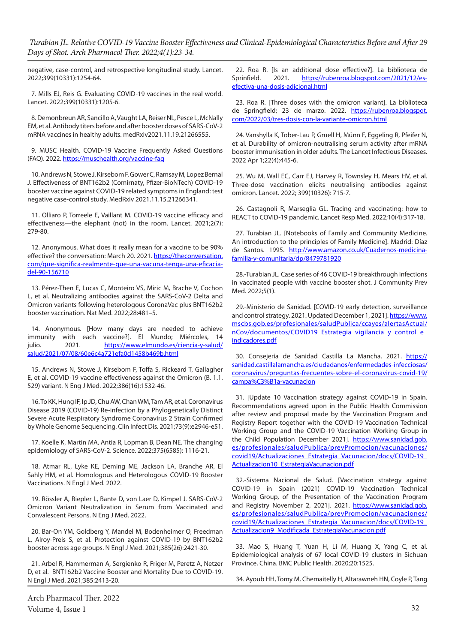negative, case-control, and retrospective longitudinal study. Lancet. 2022;399(10331):1254-64.

7. Mills EJ, Reis G. Evaluating COVID-19 vaccines in the real world. Lancet. 2022;399(10331):1205-6.

8. Demonbreun AR, Sancillo A, Vaught LA, Reiser NL, Pesce L, McNally EM, et al. Antibody titers before and after booster doses of SARS-CoV-2 mRNA vaccines in healthy adults. medRxiv2021.11.19.21266555.

9. MUSC Health. COVID-19 Vaccine Frequently Asked Questions (FAQ). 2022.<https://muschealth.org/vaccine-faq>

10. Andrews N, Stowe J, Kirsebom F, Gower C, Ramsay M, Lopez Bernal J. Effectiveness of BNT162b2 (Comirnaty, Pfizer-BioNTech) COVID-19 booster vaccine against COVID-19 related symptoms in England: test negative case-control study. MedRxiv 2021.11.15.21266341.

11. Olliaro P, Torreele E, Vaillant M. COVID-19 vaccine efficacy and effectiveness—the elephant (not) in the room. Lancet. 2021;2(7): 279-80.

12. Anonymous. What does it really mean for a vaccine to be 90% effective? the conversation: March 20. 2021. [https://theconversation.](https://theconversation.com/que-significa-realmente-que-una-vacuna-tenga-una-eficacia-del-90-156710) [com/que-significa-realmente-que-una-vacuna-tenga-una-eficacia](https://theconversation.com/que-significa-realmente-que-una-vacuna-tenga-una-eficacia-del-90-156710)[del-90-156710](https://theconversation.com/que-significa-realmente-que-una-vacuna-tenga-una-eficacia-del-90-156710)

13. Pérez-Then E, Lucas C, Monteiro VS, Miric M, Brache V, Cochon L, et al. Neutralizing antibodies against the SARS-CoV-2 Delta and Omicron variants following heterologous CoronaVac plus BNT162b2 booster vaccination. Nat Med. 2022;28:481–5.

14. Anonymous. [How many days are needed to achieve immunity with each vaccine?]. El Mundo; Miércoles, 14 julio. 2021. [https://www.elmundo.es/ciencia-y-salud/](https://www.elmundo.es/ciencia-y-salud/salud/2021/07/08/60e6c4a721efa0d1458b469b.html) [salud/2021/07/08/60e6c4a721efa0d1458b469b.html](https://www.elmundo.es/ciencia-y-salud/salud/2021/07/08/60e6c4a721efa0d1458b469b.html)

15. Andrews N, Stowe J, Kirsebom F, Toffa S, Rickeard T, Gallagher E, et al. COVID-19 vaccine effectiveness against the Omicron (B. 1.1. 529) variant. N Eng J Med. 2022;386(16):1532-46.

16. To KK, Hung IF, Ip JD, Chu AW, Chan WM, Tam AR, et al. Coronavirus Disease 2019 (COVID-19) Re-infection by a Phylogenetically Distinct Severe Acute Respiratory Syndrome Coronavirus 2 Strain Confirmed by Whole Genome Sequencing. Clin Infect Dis. 2021;73(9):e2946-e51.

17. Koelle K, Martin MA, Antia R, Lopman B, Dean NE. The changing epidemiology of SARS-CoV-2. Science. 2022;375(6585): 1116-21.

18. Atmar RL, Lyke KE, Deming ME, Jackson LA, Branche AR, El Sahly HM, et al. Homologous and Heterologous COVID-19 Booster Vaccinations. N Engl J Med. 2022.

19. Rössler A, Riepler L, Bante D, von Laer D, Kimpel J. SARS-CoV-2 Omicron Variant Neutralization in Serum from Vaccinated and Convalescent Persons. N Eng J Med. 2022.

20. Bar-On YM, Goldberg Y, Mandel M, Bodenheimer O, Freedman L, Alroy-Preis S, et al. Protection against COVID-19 by BNT162b2 booster across age groups. N Engl J Med. 2021;385(26):2421-30.

21. Arbel R, Hammerman A, Sergienko R, Friger M, Peretz A, Netzer D, et al. BNT162b2 Vaccine Booster and Mortality Due to COVID-19. N Engl J Med. 2021;385:2413-20.

Arch Pharmacol Ther. 2022 Volume 4, Issue 1 32

22. Roa R. [Is an additional dose effective?]. La biblioteca de Sprinfield. 2021. [https://rubenroa.blogspot.com/2021/12/es](https://rubenroa.blogspot.com/2021/12/es-efectiva-una-dosis-adicional.html)[efectiva-una-dosis-adicional.html](https://rubenroa.blogspot.com/2021/12/es-efectiva-una-dosis-adicional.html)

23. Roa R. [Three doses with the omicron variant]. La biblioteca de Springfield; 23 de marzo. 2022. [https://rubenroa.blogspot.](https://rubenroa.blogspot.com/2022/03/tres-dosis-con-la-variante-omicron.html) [com/2022/03/tres-dosis-con-la-variante-omicron.html](https://rubenroa.blogspot.com/2022/03/tres-dosis-con-la-variante-omicron.html)

24. Vanshylla K, Tober-Lau P, Gruell H, Münn F, Eggeling R, Pfeifer N, et al. Durability of omicron-neutralising serum activity after mRNA booster immunisation in older adults. The Lancet Infectious Diseases. 2022 Apr 1;22(4):445-6.

25. Wu M, Wall EC, Carr EJ, Harvey R, Townsley H, Mears HV, et al. Three-dose vaccination elicits neutralising antibodies against omicron. Lancet. 2022; 399(10326): 715-7.

26. Castagnoli R, Marseglia GL. Tracing and vaccinating: how to REACT to COVID-19 pandemic. Lancet Resp Med. 2022;10(4):317-18.

27. Turabian JL. [Notebooks of Family and Community Medicine. An introduction to the principles of Family Medicine]. Madrid: Díaz de Santos. 1995. [http://www.amazon.co.uk/Cuadernos-medicina](http://www.amazon.co.uk/Cuadernos-medicina-familia-y-comunitaria/dp/8479781920)[familia-y-comunitaria/dp/8479781920](http://www.amazon.co.uk/Cuadernos-medicina-familia-y-comunitaria/dp/8479781920)

28.-Turabian JL. Case series of 46 COVID-19 breakthrough infections in vaccinated people with vaccine booster shot. J Community Prev Med. 2022;5(1).

29.-Ministerio de Sanidad. [COVID-19 early detection, surveillance and control strategy. 2021. Updated December 1, 2021]. [https://www.](https://www.mscbs.gob.es/profesionales/saludPublica/ccayes/alertasActual/nCov/documentos/COVID19_Estrategia_vigilancia_y_control_e_indicadores.pdf) [mscbs.gob.es/profesionales/saludPublica/ccayes/alertasActual/](https://www.mscbs.gob.es/profesionales/saludPublica/ccayes/alertasActual/nCov/documentos/COVID19_Estrategia_vigilancia_y_control_e_indicadores.pdf) [nCov/documentos/COVID19\\_Estrategia\\_vigilancia\\_y\\_control\\_e\\_](https://www.mscbs.gob.es/profesionales/saludPublica/ccayes/alertasActual/nCov/documentos/COVID19_Estrategia_vigilancia_y_control_e_indicadores.pdf) [indicadores.pdf](https://www.mscbs.gob.es/profesionales/saludPublica/ccayes/alertasActual/nCov/documentos/COVID19_Estrategia_vigilancia_y_control_e_indicadores.pdf)

30. Consejería de Sanidad Castilla La Mancha. 2021. [https://](https://sanidad.castillalamancha.es/ciudadanos/enfermedades-infecciosas/coronavirus/preguntas-frecuentes-sobre-el-coronavirus-covid-19/campa%C3%B1a-vacunacion) [sanidad.castillalamancha.es/ciudadanos/enfermedades-infecciosas/](https://sanidad.castillalamancha.es/ciudadanos/enfermedades-infecciosas/coronavirus/preguntas-frecuentes-sobre-el-coronavirus-covid-19/campa%C3%B1a-vacunacion) [coronavirus/preguntas-frecuentes-sobre-el-coronavirus-covid-19/](https://sanidad.castillalamancha.es/ciudadanos/enfermedades-infecciosas/coronavirus/preguntas-frecuentes-sobre-el-coronavirus-covid-19/campa%C3%B1a-vacunacion) [campa%C3%B1a-vacunacion](https://sanidad.castillalamancha.es/ciudadanos/enfermedades-infecciosas/coronavirus/preguntas-frecuentes-sobre-el-coronavirus-covid-19/campa%C3%B1a-vacunacion)

31. [Update 10 Vaccination strategy against COVID-19 in Spain. Recommendations agreed upon in the Public Health Commission after review and proposal made by the Vaccination Program and Registry Report together with the COVID-19 Vaccination Technical Working Group and the COVID-19 Vaccination Working Group in the Child Population December 2021]. [https://www.sanidad.gob.](https://www.sanidad.gob.es/profesionales/saludPublica/prevPromocion/vacunaciones/covid19/Actualizaciones_Estrategia_Vacunacion/docs/COVID-19_Actualizacion10_EstrategiaVacunacion.pdf) [es/profesionales/saludPublica/prevPromocion/vacunaciones/](https://www.sanidad.gob.es/profesionales/saludPublica/prevPromocion/vacunaciones/covid19/Actualizaciones_Estrategia_Vacunacion/docs/COVID-19_Actualizacion10_EstrategiaVacunacion.pdf) [covid19/Actualizaciones\\_Estrategia\\_Vacunacion/docs/COVID-19\\_](https://www.sanidad.gob.es/profesionales/saludPublica/prevPromocion/vacunaciones/covid19/Actualizaciones_Estrategia_Vacunacion/docs/COVID-19_Actualizacion10_EstrategiaVacunacion.pdf) [Actualizacion10\\_EstrategiaVacunacion.pdf](https://www.sanidad.gob.es/profesionales/saludPublica/prevPromocion/vacunaciones/covid19/Actualizaciones_Estrategia_Vacunacion/docs/COVID-19_Actualizacion10_EstrategiaVacunacion.pdf)

32.-Sistema Nacional de Salud. [Vaccination strategy against COVID-19 in Spain (2021) COVID-19 Vaccination Technical Working Group, of the Presentation of the Vaccination Program and Registry November 2, 2021]. 2021. [https://www.sanidad.gob.](https://www.sanidad.gob.es/profesionales/saludPublica/prevPromocion/vacunaciones/covid19/Actualizaciones_Estrategia_Vacunacion/docs/COVID-19_Actualizacion9_Modificada_EstrategiaVacunacion.pdf) [es/profesionales/saludPublica/prevPromocion/vacunaciones/](https://www.sanidad.gob.es/profesionales/saludPublica/prevPromocion/vacunaciones/covid19/Actualizaciones_Estrategia_Vacunacion/docs/COVID-19_Actualizacion9_Modificada_EstrategiaVacunacion.pdf) [covid19/Actualizaciones\\_Estrategia\\_Vacunacion/docs/COVID-19\\_](https://www.sanidad.gob.es/profesionales/saludPublica/prevPromocion/vacunaciones/covid19/Actualizaciones_Estrategia_Vacunacion/docs/COVID-19_Actualizacion9_Modificada_EstrategiaVacunacion.pdf) [Actualizacion9\\_Modificada\\_EstrategiaVacunacion.pdf](https://www.sanidad.gob.es/profesionales/saludPublica/prevPromocion/vacunaciones/covid19/Actualizaciones_Estrategia_Vacunacion/docs/COVID-19_Actualizacion9_Modificada_EstrategiaVacunacion.pdf)

33. Mao S, Huang T, Yuan H, Li M, Huang X, Yang C, et al. Epidemiological analysis of 67 local COVID-19 clusters in Sichuan Province, China. BMC Public Health. 2020;20:1525.

34. Ayoub HH, Tomy M, Chemaitelly H, Altarawneh HN, Coyle P, Tang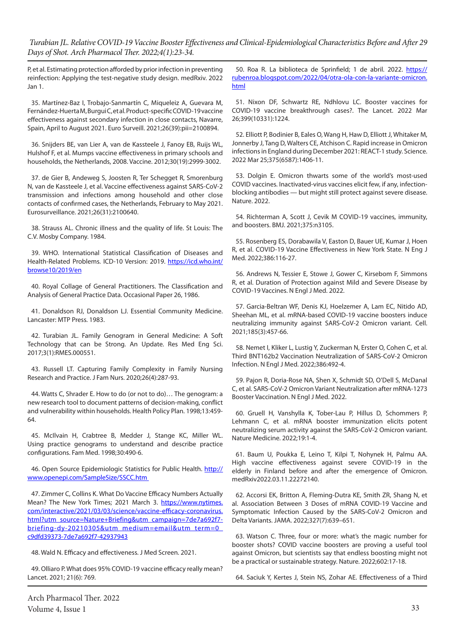P, et al. Estimating protection afforded by prior infection in preventing reinfection: Applying the test-negative study design. medRxiv. 2022 Jan 1.

35. Martínez-Baz I, Trobajo-Sanmartín C, Miqueleiz A, Guevara M, Fernández-Huerta M, Burgui C, et al. Product-specific COVID-19 vaccine effectiveness against secondary infection in close contacts, Navarre, Spain, April to August 2021. Euro Surveill. 2021;26(39):pii=2100894.

36. Snijders BE, van Lier A, van de Kassteele J, Fanoy EB, Ruijs WL, Hulshof F, et al. Mumps vaccine effectiveness in primary schools and households, the Netherlands, 2008. Vaccine. 2012;30(19):2999-3002.

37. de Gier B, Andeweg S, Joosten R, Ter Schegget R, Smorenburg N, van de Kassteele J, et al. Vaccine effectiveness against SARS-CoV-2 transmission and infections among household and other close contacts of confirmed cases, the Netherlands, February to May 2021. Eurosurveillance. 2021;26(31):2100640.

38. Strauss AL. Chronic illness and the quality of life. St Louis: The C.V. Mosby Company. 1984.

39. WHO. International Statistical Classification of Diseases and Health-Related Problems. ICD-10 Version: 2019. [https://icd.who.int/](https://icd.who.int/browse10/2019/en) [browse10/2019/en](https://icd.who.int/browse10/2019/en)

40. Royal Collage of General Practitioners. The Classification and Analysis of General Practice Data. Occasional Paper 26, 1986.

41. Donaldson RJ, Donaldson LJ. Essential Community Medicine. Lancaster: MTP Press. 1983.

42. Turabian JL. Family Genogram in General Medicine: A Soft Technology that can be Strong. An Update. Res Med Eng Sci. 2017;3(1):RMES.000551.

43. Russell LT. Capturing Family Complexity in Family Nursing Research and Practice. J Fam Nurs. 2020;26(4):287-93.

44. Watts C, Shrader E. How to do (or not to do)… The genogram: a new research tool to document patterns of decision-making, conflict and vulnerability within households. Health Policy Plan. 1998;13:459- 64.

45. McIlvain H, Crabtree B, Medder J, Stange KC, Miller WL. Using practice genograms to understand and describe practice configurations. Fam Med. 1998;30:490-6.

46. Open Source Epidemiologic Statistics for Public Health. [http://](https://icd.who.int/browse10/2019/en) [www.openepi.com/SampleSize/SSCC.htm](https://icd.who.int/browse10/2019/en) 

47. Zimmer C, Collins K. What Do Vaccine Efficacy Numbers Actually Mean? The New York Times; 2021 March 3. [https://www.nytimes.](https://www.nytimes.com/interactive/2021/03/03/science/vaccine-efficacy-coronavirus.html?utm_source=Nature+Briefing&utm_campaign=7de7a692f7-briefing-dy-20210305&utm_medium=email&utm_term=0_c9dfd39373-7de7a692f7-42937943) [com/interactive/2021/03/03/science/vaccine-efficacy-coronavirus.](https://www.nytimes.com/interactive/2021/03/03/science/vaccine-efficacy-coronavirus.html?utm_source=Nature+Briefing&utm_campaign=7de7a692f7-briefing-dy-20210305&utm_medium=email&utm_term=0_c9dfd39373-7de7a692f7-42937943) [html?utm\\_source=Nature+Briefing&utm\\_campaign=7de7a692f7](https://www.nytimes.com/interactive/2021/03/03/science/vaccine-efficacy-coronavirus.html?utm_source=Nature+Briefing&utm_campaign=7de7a692f7-briefing-dy-20210305&utm_medium=email&utm_term=0_c9dfd39373-7de7a692f7-42937943) [briefing-dy-20210305&utm\\_medium=email&utm\\_term=0\\_](https://www.nytimes.com/interactive/2021/03/03/science/vaccine-efficacy-coronavirus.html?utm_source=Nature+Briefing&utm_campaign=7de7a692f7-briefing-dy-20210305&utm_medium=email&utm_term=0_c9dfd39373-7de7a692f7-42937943) [c9dfd39373-7de7a692f7-42937943](https://www.nytimes.com/interactive/2021/03/03/science/vaccine-efficacy-coronavirus.html?utm_source=Nature+Briefing&utm_campaign=7de7a692f7-briefing-dy-20210305&utm_medium=email&utm_term=0_c9dfd39373-7de7a692f7-42937943)

48. Wald N. Efficacy and effectiveness. J Med Screen. 2021.

49. Olliaro P. What does 95% COVID-19 vaccine efficacy really mean? Lancet. 2021; 21(6): 769.

50. Roa R. La biblioteca de Sprinfield; 1 de abril. 2022. [https://](https://rubenroa.blogspot.com/2022/04/otra-ola-con-la-variante-omicron.html) [rubenroa.blogspot.com/2022/04/otra-ola-con-la-variante-omicron.](https://rubenroa.blogspot.com/2022/04/otra-ola-con-la-variante-omicron.html) [html](https://rubenroa.blogspot.com/2022/04/otra-ola-con-la-variante-omicron.html)

51. Nixon DF, Schwartz RE, Ndhlovu LC. Booster vaccines for COVID-19 vaccine breakthrough cases?. The Lancet. 2022 Mar 26;399(10331):1224.

52. Elliott P, Bodinier B, Eales O, Wang H, Haw D, Elliott J, Whitaker M, Jonnerby J, Tang D, Walters CE, Atchison C. Rapid increase in Omicron infections in England during December 2021: REACT-1 study. Science. 2022 Mar 25;375(6587):1406-11.

53. Dolgin E. Omicron thwarts some of the world's most-used COVID vaccines. Inactivated-virus vaccines elicit few, if any, infectionblocking antibodies — but might still protect against severe disease. Nature. 2022.

54. Richterman A, Scott J, Cevik M COVID-19 vaccines, immunity, and boosters. BMJ. 2021;375:n3105.

55. Rosenberg ES, Dorabawila V, Easton D, Bauer UE, Kumar J, Hoen R, et al. COVID-19 Vaccine Effectiveness in New York State. N Eng J Med. 2022;386:116-27.

56. Andrews N, Tessier E, Stowe J, Gower C, Kirsebom F, Simmons R, et al. Duration of Protection against Mild and Severe Disease by COVID-19 Vaccines. N Engl J Med. 2022.

57. Garcia-Beltran WF, Denis KJ, Hoelzemer A, Lam EC, Nitido AD, Sheehan ML, et al. mRNA-based COVID-19 vaccine boosters induce neutralizing immunity against SARS-CoV-2 Omicron variant. Cell. 2021;185(3):457-66.

58. Nemet I, Kliker L, Lustig Y, Zuckerman N, Erster O, Cohen C, et al. Third BNT162b2 Vaccination Neutralization of SARS-CoV-2 Omicron Infection. N Engl J Med. 2022;386:492-4.

59. Pajon R, Doria-Rose NA, Shen X, Schmidt SD, O'Dell S, McDanal C, et al. SARS-CoV-2 Omicron Variant Neutralization after mRNA-1273 Booster Vaccination. N Engl J Med. 2022.

60. Gruell H, Vanshylla K, Tober-Lau P, Hillus D, Schommers P, Lehmann C, et al. mRNA booster immunization elicits potent neutralizing serum activity against the SARS-CoV-2 Omicron variant. Nature Medicine. 2022;19:1-4.

61. Baum U, Poukka E, Leino T, Kilpi T, Nohynek H, Palmu AA. High vaccine effectiveness against severe COVID-19 in the elderly in Finland before and after the emergence of Omicron. medRxiv2022.03.11.22272140.

62. Accorsi EK, Britton A, Fleming-Dutra KE, Smith ZR, Shang N, et al. Association Between 3 Doses of mRNA COVID-19 Vaccine and Symptomatic Infection Caused by the SARS-CoV-2 Omicron and Delta Variants. JAMA. 2022;327(7):639–651.

63. Watson C. Three, four or more: what's the magic number for booster shots? COVID vaccine boosters are proving a useful tool against Omicron, but scientists say that endless boosting might not be a practical or sustainable strategy. Nature. 2022;602:17-18.

64. Saciuk Y, Kertes J, Stein NS, Zohar AE. Effectiveness of a Third

Arch Pharmacol Ther. 2022 Volume 4, Issue 1 33